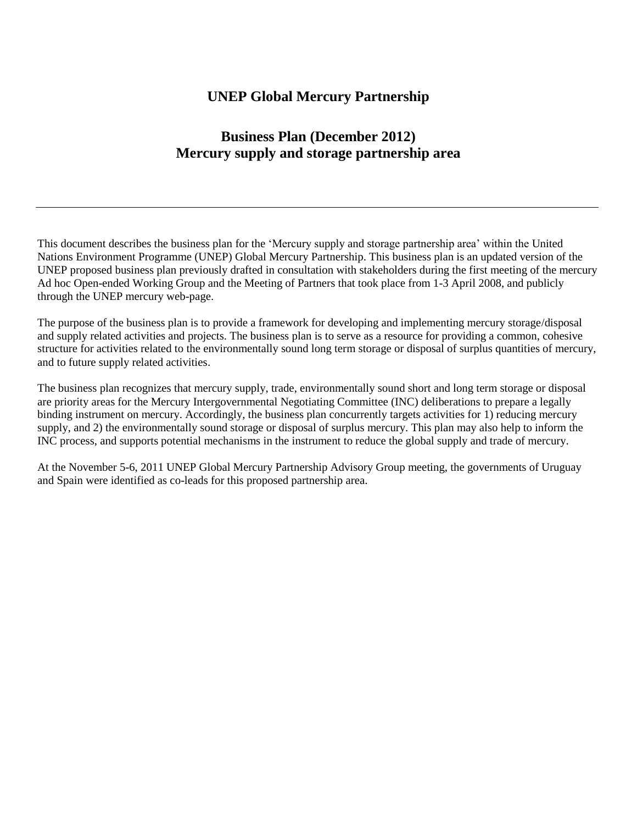### **UNEP Global Mercury Partnership**

### **Business Plan (December 2012) Mercury supply and storage partnership area**

This document describes the business plan for the 'Mercury supply and storage partnership area' within the United Nations Environment Programme (UNEP) Global Mercury Partnership. This business plan is an updated version of the UNEP proposed business plan previously drafted in consultation with stakeholders during the first meeting of the mercury Ad hoc Open-ended Working Group and the Meeting of Partners that took place from 1-3 April 2008, and publicly through the UNEP mercury web-page.

The purpose of the business plan is to provide a framework for developing and implementing mercury storage/disposal and supply related activities and projects. The business plan is to serve as a resource for providing a common, cohesive structure for activities related to the environmentally sound long term storage or disposal of surplus quantities of mercury, and to future supply related activities.

The business plan recognizes that mercury supply, trade, environmentally sound short and long term storage or disposal are priority areas for the Mercury Intergovernmental Negotiating Committee (INC) deliberations to prepare a legally binding instrument on mercury. Accordingly, the business plan concurrently targets activities for 1) reducing mercury supply, and 2) the environmentally sound storage or disposal of surplus mercury. This plan may also help to inform the INC process, and supports potential mechanisms in the instrument to reduce the global supply and trade of mercury.

At the November 5-6, 2011 UNEP Global Mercury Partnership Advisory Group meeting, the governments of Uruguay and Spain were identified as co-leads for this proposed partnership area.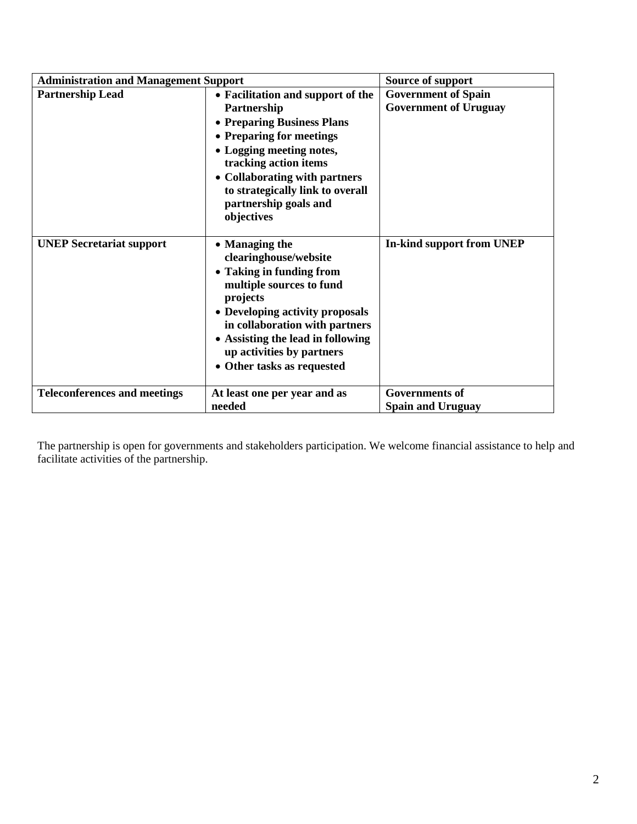| <b>Administration and Management Support</b> | <b>Source of support</b>                                                                                                                                                                                                                                                         |                                                            |
|----------------------------------------------|----------------------------------------------------------------------------------------------------------------------------------------------------------------------------------------------------------------------------------------------------------------------------------|------------------------------------------------------------|
| <b>Partnership Lead</b>                      | • Facilitation and support of the<br>Partnership<br>• Preparing Business Plans<br>• Preparing for meetings<br>• Logging meeting notes,<br>tracking action items<br>• Collaborating with partners<br>to strategically link to overall<br>partnership goals and<br>objectives      | <b>Government of Spain</b><br><b>Government of Uruguay</b> |
| <b>UNEP Secretariat support</b>              | • Managing the<br>clearinghouse/website<br>• Taking in funding from<br>multiple sources to fund<br>projects<br>• Developing activity proposals<br>in collaboration with partners<br>• Assisting the lead in following<br>up activities by partners<br>• Other tasks as requested | <b>In-kind support from UNEP</b>                           |
| <b>Teleconferences and meetings</b>          | At least one per year and as<br>needed                                                                                                                                                                                                                                           | <b>Governments of</b><br><b>Spain and Uruguay</b>          |

The partnership is open for governments and stakeholders participation. We welcome financial assistance to help and facilitate activities of the partnership.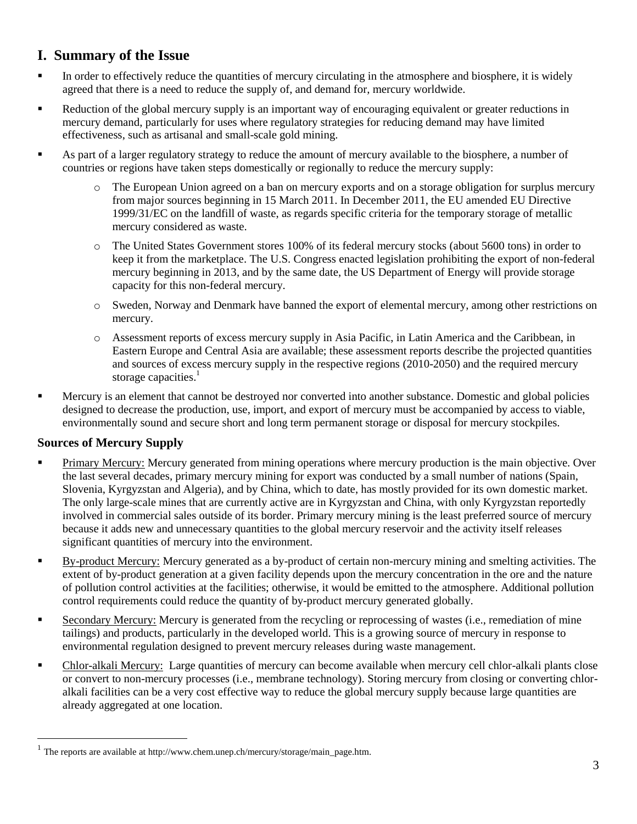## **I. Summary of the Issue**

- In order to effectively reduce the quantities of mercury circulating in the atmosphere and biosphere, it is widely agreed that there is a need to reduce the supply of, and demand for, mercury worldwide.
- Reduction of the global mercury supply is an important way of encouraging equivalent or greater reductions in mercury demand, particularly for uses where regulatory strategies for reducing demand may have limited effectiveness, such as artisanal and small-scale gold mining.
- As part of a larger regulatory strategy to reduce the amount of mercury available to the biosphere, a number of countries or regions have taken steps domestically or regionally to reduce the mercury supply:
	- o The European Union agreed on a ban on mercury exports and on a storage obligation for surplus mercury from major sources beginning in 15 March 2011. In December 2011, the EU amended EU Directive 1999/31/EC on the landfill of waste, as regards specific criteria for the temporary storage of metallic mercury considered as waste.
	- o The United States Government stores 100% of its federal mercury stocks (about 5600 tons) in order to keep it from the marketplace. The U.S. Congress enacted legislation prohibiting the export of non-federal mercury beginning in 2013, and by the same date, the US Department of Energy will provide storage capacity for this non-federal mercury.
	- o Sweden, Norway and Denmark have banned the export of elemental mercury, among other restrictions on mercury.
	- o Assessment reports of excess mercury supply in Asia Pacific, in Latin America and the Caribbean, in Eastern Europe and Central Asia are available; these assessment reports describe the projected quantities and sources of excess mercury supply in the respective regions (2010-2050) and the required mercury storage capacities.<sup>1</sup>
- **Mercury is an element that cannot be destroyed nor converted into another substance. Domestic and global policies** designed to decrease the production, use, import, and export of mercury must be accompanied by access to viable, environmentally sound and secure short and long term permanent storage or disposal for mercury stockpiles.

### **Sources of Mercury Supply**

 $\overline{a}$ 

- **Primary Mercury:** Mercury generated from mining operations where mercury production is the main objective. Over the last several decades, primary mercury mining for export was conducted by a small number of nations (Spain, Slovenia, Kyrgyzstan and Algeria), and by China, which to date, has mostly provided for its own domestic market. The only large-scale mines that are currently active are in Kyrgyzstan and China, with only Kyrgyzstan reportedly involved in commercial sales outside of its border. Primary mercury mining is the least preferred source of mercury because it adds new and unnecessary quantities to the global mercury reservoir and the activity itself releases significant quantities of mercury into the environment.
- By-product Mercury: Mercury generated as a by-product of certain non-mercury mining and smelting activities. The extent of by-product generation at a given facility depends upon the mercury concentration in the ore and the nature of pollution control activities at the facilities; otherwise, it would be emitted to the atmosphere. Additional pollution control requirements could reduce the quantity of by-product mercury generated globally.
- Secondary Mercury: Mercury is generated from the recycling or reprocessing of wastes (i.e., remediation of mine tailings) and products, particularly in the developed world. This is a growing source of mercury in response to environmental regulation designed to prevent mercury releases during waste management.
- Chlor-alkali Mercury: Large quantities of mercury can become available when mercury cell chlor-alkali plants close or convert to non-mercury processes (i.e., membrane technology). Storing mercury from closing or converting chloralkali facilities can be a very cost effective way to reduce the global mercury supply because large quantities are already aggregated at one location.

 $<sup>1</sup>$  The reports are available a[t http://www.chem.unep.ch/mercury/storage/main\\_page.htm.](http://www.chem.unep.ch/mercury/storage/main_page.htm)</sup>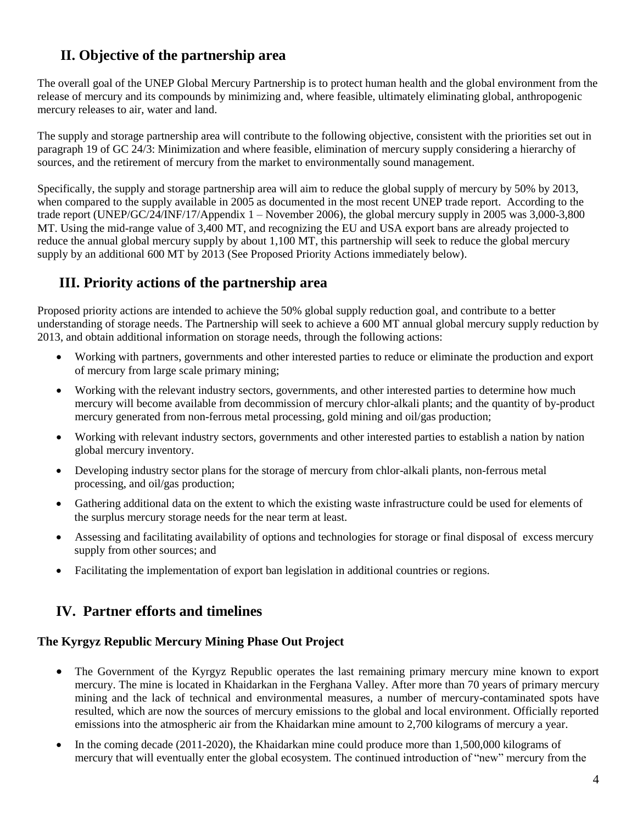# **II. Objective of the partnership area**

The overall goal of the UNEP Global Mercury Partnership is to protect human health and the global environment from the release of mercury and its compounds by minimizing and, where feasible, ultimately eliminating global, anthropogenic mercury releases to air, water and land.

The supply and storage partnership area will contribute to the following objective, consistent with the priorities set out in paragraph 19 of GC 24/3: Minimization and where feasible, elimination of mercury supply considering a hierarchy of sources, and the retirement of mercury from the market to environmentally sound management.

Specifically, the supply and storage partnership area will aim to reduce the global supply of mercury by 50% by 2013, when compared to the supply available in 2005 as documented in the most recent UNEP trade report. According to the trade report (UNEP/GC/24/INF/17/Appendix 1 – November 2006), the global mercury supply in 2005 was 3,000-3,800 MT. Using the mid-range value of 3,400 MT, and recognizing the EU and USA export bans are already projected to reduce the annual global mercury supply by about 1,100 MT, this partnership will seek to reduce the global mercury supply by an additional 600 MT by 2013 (See Proposed Priority Actions immediately below).

### **III. Priority actions of the partnership area**

Proposed priority actions are intended to achieve the 50% global supply reduction goal, and contribute to a better understanding of storage needs. The Partnership will seek to achieve a 600 MT annual global mercury supply reduction by 2013, and obtain additional information on storage needs, through the following actions:

- Working with partners, governments and other interested parties to reduce or eliminate the production and export of mercury from large scale primary mining;
- Working with the relevant industry sectors, governments, and other interested parties to determine how much mercury will become available from decommission of mercury chlor-alkali plants; and the quantity of by-product mercury generated from non-ferrous metal processing, gold mining and oil/gas production;
- Working with relevant industry sectors, governments and other interested parties to establish a nation by nation global mercury inventory.
- Developing industry sector plans for the storage of mercury from chlor-alkali plants, non-ferrous metal processing, and oil/gas production;
- Gathering additional data on the extent to which the existing waste infrastructure could be used for elements of the surplus mercury storage needs for the near term at least.
- Assessing and facilitating availability of options and technologies for storage or final disposal of excess mercury supply from other sources; and
- Facilitating the implementation of export ban legislation in additional countries or regions.

## **IV. Partner efforts and timelines**

### **The Kyrgyz Republic Mercury Mining Phase Out Project**

- The Government of the Kyrgyz Republic operates the last remaining primary mercury mine known to export mercury. The mine is located in Khaidarkan in the Ferghana Valley. After more than 70 years of primary mercury mining and the lack of technical and environmental measures, a number of mercury-contaminated spots have resulted, which are now the sources of mercury emissions to the global and local environment. Officially reported emissions into the atmospheric air from the Khaidarkan mine amount to 2,700 kilograms of mercury a year.
- In the coming decade (2011-2020), the Khaidarkan mine could produce more than 1,500,000 kilograms of mercury that will eventually enter the global ecosystem. The continued introduction of "new" mercury from the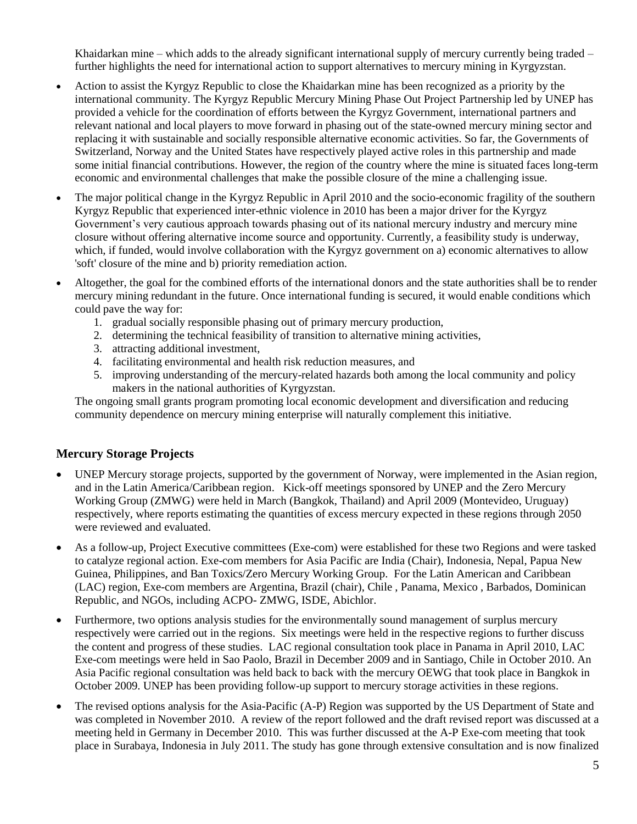Khaidarkan mine – which adds to the already significant international supply of mercury currently being traded – further highlights the need for international action to support alternatives to mercury mining in Kyrgyzstan.

- Action to assist the Kyrgyz Republic to close the Khaidarkan mine has been recognized as a priority by the international community. The Kyrgyz Republic Mercury Mining Phase Out Project Partnership led by UNEP has provided a vehicle for the coordination of efforts between the Kyrgyz Government, international partners and relevant national and local players to move forward in phasing out of the state-owned mercury mining sector and replacing it with sustainable and socially responsible alternative economic activities. So far, the Governments of Switzerland, Norway and the United States have respectively played active roles in this partnership and made some initial financial contributions. However, the region of the country where the mine is situated faces long-term economic and environmental challenges that make the possible closure of the mine a challenging issue.
- The major political change in the Kyrgyz Republic in April 2010 and the socio-economic fragility of the southern Kyrgyz Republic that experienced inter-ethnic violence in 2010 has been a major driver for the Kyrgyz Government's very cautious approach towards phasing out of its national mercury industry and mercury mine closure without offering alternative income source and opportunity. Currently, a feasibility study is underway, which, if funded, would involve collaboration with the Kyrgyz government on a) economic alternatives to allow 'soft' closure of the mine and b) priority remediation action.
- Altogether, the goal for the combined efforts of the international donors and the state authorities shall be to render mercury mining redundant in the future. Once international funding is secured, it would enable conditions which could pave the way for:
	- 1. gradual socially responsible phasing out of primary mercury production,
	- 2. determining the technical feasibility of transition to alternative mining activities,
	- 3. attracting additional investment,
	- 4. facilitating environmental and health risk reduction measures, and
	- 5. improving understanding of the mercury-related hazards both among the local community and policy makers in the national authorities of Kyrgyzstan.

The ongoing small grants program promoting local economic development and diversification and reducing community dependence on mercury mining enterprise will naturally complement this initiative.

#### **Mercury Storage Projects**

- UNEP Mercury storage projects, supported by the government of Norway, were implemented in the Asian region, and in the Latin America/Caribbean region. Kick-off meetings sponsored by UNEP and the Zero Mercury Working Group (ZMWG) were held in March (Bangkok, Thailand) and April 2009 (Montevideo, Uruguay) respectively, where reports estimating the quantities of excess mercury expected in these regions through 2050 were reviewed and evaluated.
- As a follow-up, Project Executive committees (Exe-com) were established for these two Regions and were tasked to catalyze regional action. Exe-com members for Asia Pacific are India (Chair), Indonesia, Nepal, Papua New Guinea, Philippines, and Ban Toxics/Zero Mercury Working Group. For the Latin American and Caribbean (LAC) region, Exe-com members are Argentina, Brazil (chair), Chile , Panama, Mexico , Barbados, Dominican Republic, and NGOs, including ACPO- ZMWG, ISDE, Abichlor.
- Furthermore, two options analysis studies for the environmentally sound management of surplus mercury respectively were carried out in the regions. Six meetings were held in the respective regions to further discuss the content and progress of these studies. LAC regional consultation took place in Panama in April 2010, LAC Exe-com meetings were held in Sao Paolo, Brazil in December 2009 and in Santiago, Chile in October 2010. An Asia Pacific regional consultation was held back to back with the mercury OEWG that took place in Bangkok in October 2009. UNEP has been providing follow-up support to mercury storage activities in these regions.
- The revised options analysis for the Asia-Pacific (A-P) Region was supported by the US Department of State and was completed in November 2010. A review of the report followed and the draft revised report was discussed at a meeting held in Germany in December 2010. This was further discussed at the A-P Exe-com meeting that took place in Surabaya, Indonesia in July 2011. The study has gone through extensive consultation and is now finalized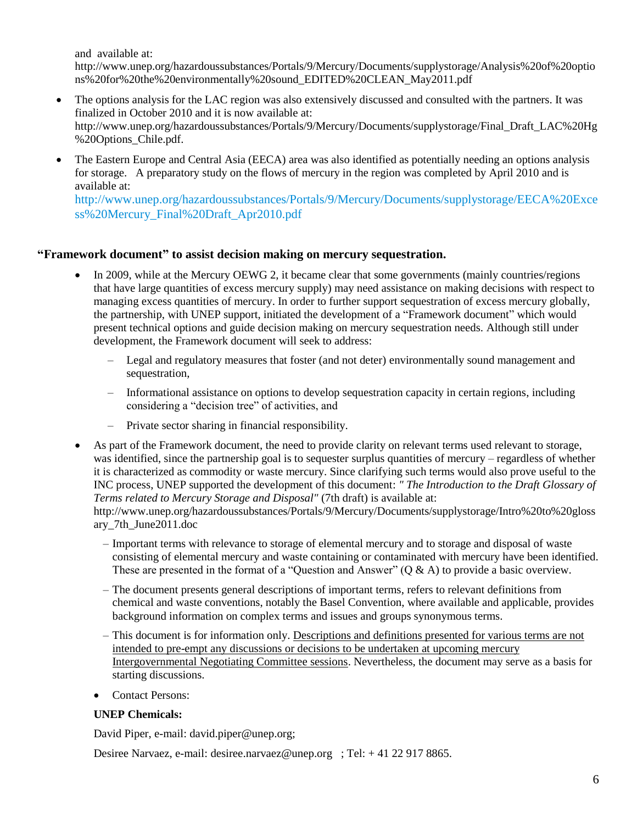and available at:

[http://www.unep.org/hazardoussubstances/Portals/9/Mercury/Documents/supplystorage/Analysis%20of%20optio](http://www.unep.org/hazardoussubstances/Portals/9/Mercury/Documents/supplystorage/Analysis%20of%20options%20for%20the%20environmentally%20sound_EDITED%20CLEAN_May2011.pdf) [ns%20for%20the%20environmentally%20sound\\_EDITED%20CLEAN\\_May2011.pdf](http://www.unep.org/hazardoussubstances/Portals/9/Mercury/Documents/supplystorage/Analysis%20of%20options%20for%20the%20environmentally%20sound_EDITED%20CLEAN_May2011.pdf)

- The options analysis for the LAC region was also extensively discussed and consulted with the partners. It was finalized in October 2010 and it is now available at: [http://www.unep.org/hazardoussubstances/Portals/9/Mercury/Documents/supplystorage/Final\\_Draft\\_LAC%20Hg](http://www.unep.org/hazardoussubstances/Portals/9/Mercury/Documents/supplystorage/Final_Draft_LAC%20Hg%20Options_Chile.pdf) [%20Options\\_Chile.pdf.](http://www.unep.org/hazardoussubstances/Portals/9/Mercury/Documents/supplystorage/Final_Draft_LAC%20Hg%20Options_Chile.pdf)
- The Eastern Europe and Central Asia (EECA) area was also identified as potentially needing an options analysis for storage. A preparatory study on the flows of mercury in the region was completed by April 2010 and is available at:

[http://www.unep.org/hazardoussubstances/Portals/9/Mercury/Documents/supplystorage/EECA%20Exce](http://www.unep.org/hazardoussubstances/Portals/9/Mercury/Documents/supplystorage/EECA%20Excess%20Mercury_Final%20Draft_Apr2010.pdf) [ss%20Mercury\\_Final%20Draft\\_Apr2010.pdf](http://www.unep.org/hazardoussubstances/Portals/9/Mercury/Documents/supplystorage/EECA%20Excess%20Mercury_Final%20Draft_Apr2010.pdf)

#### **"Framework document" to assist decision making on mercury sequestration.**

- In 2009, while at the Mercury OEWG 2, it became clear that some governments (mainly countries/regions that have large quantities of excess mercury supply) may need assistance on making decisions with respect to managing excess quantities of mercury. In order to further support sequestration of excess mercury globally, the partnership, with UNEP support, initiated the development of a "Framework document" which would present technical options and guide decision making on mercury sequestration needs. Although still under development, the Framework document will seek to address:
	- Legal and regulatory measures that foster (and not deter) environmentally sound management and sequestration,
	- Informational assistance on options to develop sequestration capacity in certain regions, including considering a "decision tree" of activities, and
	- Private sector sharing in financial responsibility.
- As part of the Framework document, the need to provide clarity on relevant terms used relevant to storage, was identified, since the partnership goal is to sequester surplus quantities of mercury – regardless of whether it is characterized as commodity or waste mercury. Since clarifying such terms would also prove useful to the INC process, UNEP supported the development of this document: *" The Introduction to the Draft Glossary of Terms related to Mercury Storage and Disposal"* (7th draft) is available at:

[http://www.unep.org/hazardoussubstances/Portals/9/Mercury/Documents/supplystorage/Intro%20to%20gloss](http://www.unep.org/hazardoussubstances/Portals/9/Mercury/Documents/supplystorage/Intro%20to%20glossary_7th_June2011.doc) [ary\\_7th\\_June2011.doc](http://www.unep.org/hazardoussubstances/Portals/9/Mercury/Documents/supplystorage/Intro%20to%20glossary_7th_June2011.doc)

- Important terms with relevance to storage of elemental mercury and to storage and disposal of waste consisting of elemental mercury and waste containing or contaminated with mercury have been identified. These are presented in the format of a "Question and Answer"  $(Q & A)$  to provide a basic overview.
- The document presents general descriptions of important terms, refers to relevant definitions from chemical and waste conventions, notably the Basel Convention, where available and applicable, provides background information on complex terms and issues and groups synonymous terms.
- This document is for information only. Descriptions and definitions presented for various terms are not intended to pre-empt any discussions or decisions to be undertaken at upcoming mercury Intergovernmental Negotiating Committee sessions. Nevertheless, the document may serve as a basis for starting discussions.
- Contact Persons:

#### **UNEP Chemicals:**

David Piper, e-mail: [david.piper@unep.org;](mailto:david.piper@unep.org)

Desiree Narvaez, e-mail: [desiree.narvaez@unep.org](mailto:desiree.narvaez@unep.org) ; Tel: + 41 22 917 8865.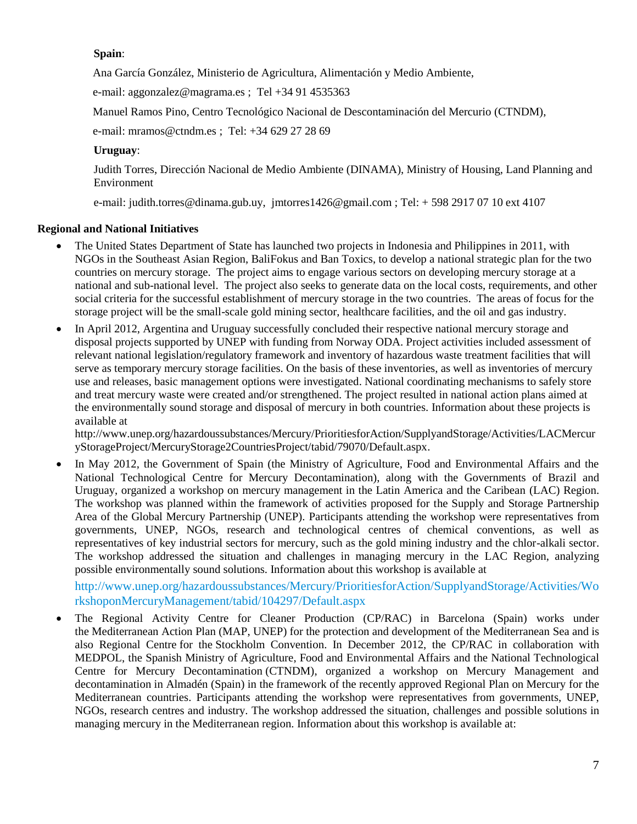#### **Spain**:

Ana García González, Ministerio de Agricultura, Alimentación y Medio Ambiente,

e-mail: [aggonzalez@magrama.es](mailto:aggonzalez@magrama.es) ; Tel +34 91 4535363

Manuel Ramos Pino, Centro Tecnológico Nacional de Descontaminación del Mercurio (CTNDM),

e-mail: [mramos@ctndm.es](mailto:mramos@ctndm.es) ; Tel: +34 629 27 28 69

#### **Uruguay**:

Judith Torres, Dirección Nacional de Medio Ambiente (DINAMA), Ministry of Housing, Land Planning and Environment

e-mail: [judith.torres@dinama.gub.uy,](mailto:judith.torres@dinama.gub.uy) [jmtorres1426@gmail.com](mailto:jmtorres1426@gmail.com) ; Tel: + 598 2917 07 10 ext 4107

#### **Regional and National Initiatives**

- The United States Department of State has launched two projects in Indonesia and Philippines in 2011, with NGOs in the Southeast Asian Region, BaliFokus and Ban Toxics, to develop a national strategic plan for the two countries on mercury storage. The project aims to engage various sectors on developing mercury storage at a national and sub-national level. The project also seeks to generate data on the local costs, requirements, and other social criteria for the successful establishment of mercury storage in the two countries. The areas of focus for the storage project will be the small-scale gold mining sector, healthcare facilities, and the oil and gas industry.
- In April 2012, Argentina and Uruguay successfully concluded their respective national mercury storage and disposal projects supported by UNEP with funding from Norway ODA. Project activities included assessment of relevant national legislation/regulatory framework and inventory of hazardous waste treatment facilities that will serve as temporary mercury storage facilities. On the basis of these inventories, as well as inventories of mercury use and releases, basic management options were investigated. National coordinating mechanisms to safely store and treat mercury waste were created and/or strengthened. The project resulted in national action plans aimed at the environmentally sound storage and disposal of mercury in both countries. Information about these projects is available at

[http://www.unep.org/hazardoussubstances/Mercury/PrioritiesforAction/SupplyandStorage/Activities/LACMercur](http://www.unep.org/hazardoussubstances/Mercury/PrioritiesforAction/SupplyandStorage/Activities/LACMercuryStorageProject/MercuryStorage2CountriesProject/tabid/79070/Default.aspx) [yStorageProject/MercuryStorage2CountriesProject/tabid/79070/Default.aspx.](http://www.unep.org/hazardoussubstances/Mercury/PrioritiesforAction/SupplyandStorage/Activities/LACMercuryStorageProject/MercuryStorage2CountriesProject/tabid/79070/Default.aspx)

 In May 2012, the Government of Spain (the Ministry of Agriculture, Food and Environmental Affairs and the National Technological Centre for Mercury Decontamination), along with the Governments of Brazil and Uruguay, organized a workshop on mercury management in the Latin America and the Caribean (LAC) Region. The workshop was planned within the framework of activities proposed for the Supply and Storage Partnership Area of the Global Mercury Partnership (UNEP). Participants attending the workshop were representatives from governments, UNEP, NGOs, research and technological centres of chemical conventions, as well as representatives of key industrial sectors for mercury, such as the gold mining industry and the chlor-alkali sector. The workshop addressed the situation and challenges in managing mercury in the LAC Region, analyzing possible environmentally sound solutions. Information about this workshop is available at

[http://www.unep.org/hazardoussubstances/Mercury/PrioritiesforAction/SupplyandStorage/Activities/Wo](http://www.unep.org/hazardoussubstances/Mercury/PrioritiesforAction/SupplyandStorage/Activities/WorkshoponMercuryManagement/tabid/104297/Default.aspx) [rkshoponMercuryManagement/tabid/104297/Default.aspx](http://www.unep.org/hazardoussubstances/Mercury/PrioritiesforAction/SupplyandStorage/Activities/WorkshoponMercuryManagement/tabid/104297/Default.aspx)

 The Regional Activity Centre for Cleaner Production (CP/RAC) in Barcelona (Spain) works under the [Mediterranean Action Plan \(MAP, UNEP\)](http://www.unepmap.org/) for the protection and development of the Mediterranean Sea and is also Regional Centre for the [Stockholm Convention.](http://www.pops.int/) In December 2012, the CP/RAC in collaboration with MEDPOL, the Spanish Ministry of Agriculture, Food and Environmental Affairs and the [National Technological](http://www.ctndm.es/index-in.php)  [Centre for Mercury Decontamination](http://www.ctndm.es/index-in.php) (CTNDM), organized a workshop on Mercury Management and decontamination in Almadén (Spain) in the framework of the recently approved Regional Plan on Mercury for the Mediterranean countries. Participants attending the workshop were representatives from governments, UNEP, NGOs, research centres and industry. The workshop addressed the situation, challenges and possible solutions in managing mercury in the Mediterranean region. Information about this workshop is available at: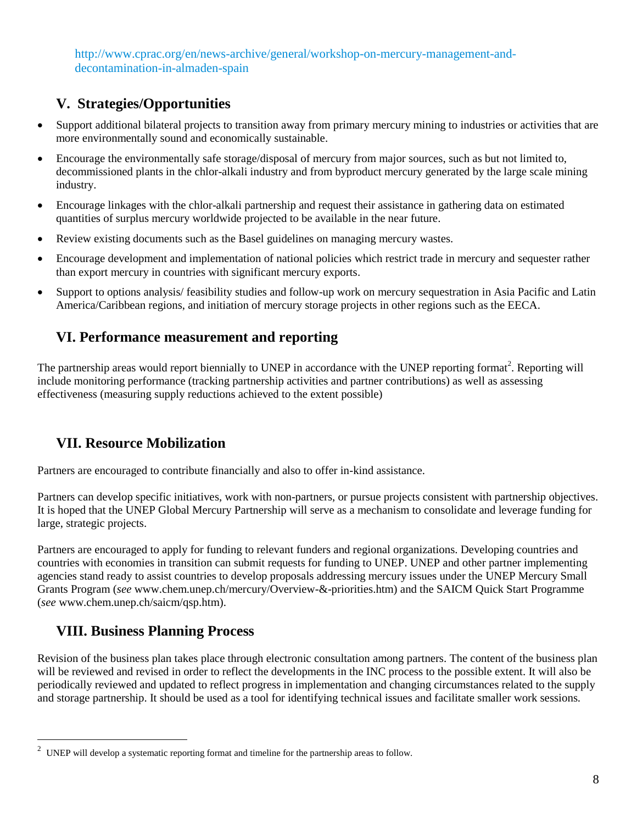[http://www.cprac.org/en/news-archive/general/workshop-on-mercury-management-and](http://www.cprac.org/en/news-archive/general/workshop-on-mercury-management-and-decontamination-in-almaden-spain)[decontamination-in-almaden-spain](http://www.cprac.org/en/news-archive/general/workshop-on-mercury-management-and-decontamination-in-almaden-spain)

## **V. Strategies/Opportunities**

- Support additional bilateral projects to transition away from primary mercury mining to industries or activities that are more environmentally sound and economically sustainable.
- Encourage the environmentally safe storage/disposal of mercury from major sources, such as but not limited to, decommissioned plants in the chlor-alkali industry and from byproduct mercury generated by the large scale mining industry.
- Encourage linkages with the chlor-alkali partnership and request their assistance in gathering data on estimated quantities of surplus mercury worldwide projected to be available in the near future.
- Review existing documents such as the Basel guidelines on managing mercury wastes.
- Encourage development and implementation of national policies which restrict trade in mercury and sequester rather than export mercury in countries with significant mercury exports.
- Support to options analysis/ feasibility studies and follow-up work on mercury sequestration in Asia Pacific and Latin America/Caribbean regions, and initiation of mercury storage projects in other regions such as the EECA.

## **VI. Performance measurement and reporting**

The partnership areas would report biennially to UNEP in accordance with the UNEP reporting format<sup>2</sup>. Reporting will include monitoring performance (tracking partnership activities and partner contributions) as well as assessing effectiveness (measuring supply reductions achieved to the extent possible)

## **VII. Resource Mobilization**

Partners are encouraged to contribute financially and also to offer in-kind assistance.

Partners can develop specific initiatives, work with non-partners, or pursue projects consistent with partnership objectives. It is hoped that the UNEP Global Mercury Partnership will serve as a mechanism to consolidate and leverage funding for large, strategic projects.

Partners are encouraged to apply for funding to relevant funders and regional organizations. Developing countries and countries with economies in transition can submit requests for funding to UNEP. UNEP and other partner implementing agencies stand ready to assist countries to develop proposals addressing mercury issues under the UNEP Mercury Small Grants Program (*see* [www.chem.unep.ch/mercury/Overview-&-priorities.htm\)](http://www.chem.unep.ch/mercury/Overview-&-priorities.htm) and the SAICM Quick Start Programme (*see* [www.chem.unep.ch/saicm/qsp.htm\)](http://www.chem.unep.ch/saicm/qsp.htm).

# **VIII. Business Planning Process**

 $\overline{a}$ 

Revision of the business plan takes place through electronic consultation among partners. The content of the business plan will be reviewed and revised in order to reflect the developments in the INC process to the possible extent. It will also be periodically reviewed and updated to reflect progress in implementation and changing circumstances related to the supply and storage partnership. It should be used as a tool for identifying technical issues and facilitate smaller work sessions.

 $2$  UNEP will develop a systematic reporting format and timeline for the partnership areas to follow.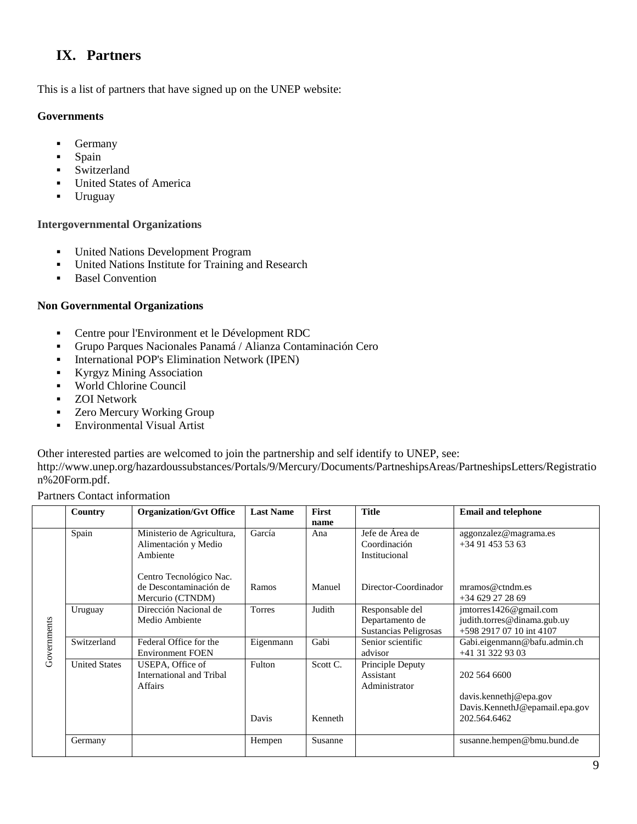# **IX. Partners**

This is a list of partners that have signed up on the UNEP website:

#### **Governments**

- Germany
- Spain
- [Switzerland](http://www.unep.org/hazardoussubstances/Portals/9/Mercury/Documents/PartneshipsAreas/PartneshipsLetters/Switzerland.pdf)
- **United States of America**
- **Uruguay**

#### **Intergovernmental Organizations**

- United Nations Development Program
- United Nations Institute for Training and Research
- **[Basel Convention](http://www.unep.org/hazardoussubstances/Portals/9/Mercury/Documents/PartneshipsAreas/PartneshipsLetters/Basel%20Convention.pdf)**

#### **Non Governmental Organizations**

- [Centre pour l'Environment et le Dévelopment RDC](http://www.unep.org/hazardoussubstances/Portals/9/Mercury/Documents/PartneshipsAreas/PartneshipsLetters/Centre%20pour%20l)
- [Grupo Parques Nacionales Panamá / Alianza Contaminación Cero](http://www.unep.org/hazardoussubstances/Portals/9/Mercury/Documents/PartneshipsAreas/PartneshipsLetters/Grupo%20Parques%20Nacionales%20Panama.pdf)
- **[International POP's Elimination Network \(IPEN\)](http://www.unep.org/hazardoussubstances/Portals/9/Mercury/Documents/PartneshipsAreas/PartneshipsLetters/IPEN.pdf)**
- [Kyrgyz Mining Association](http://www.unep.org/hazardoussubstances/Portals/9/Mercury/Documents/PartneshipsAreas/PartneshipsLetters/Kyrgyz%20Mining%20Association.pdf)
- [World Chlorine Council](http://www.unep.org/hazardoussubstances/Portals/9/Mercury/Documents/PartneshipsAreas/PartneshipsLetters/World%20Chlorine%20council.pdf)
- **EXECUTE:** ZOI Network
- **EXECT:** Zero Mercury Working Group
- **[Environmental Visual Artist](http://www.unep.org/hazardoussubstances/Portals/9/Mercury/Documents/PartneshipsAreas/PartneshipsLetters/Environmental%20Visual%20artist.pdf)**

Other interested parties are welcomed to join the partnership and self identify to UNEP, see:

[http://www.unep.org/hazardoussubstances/Portals/9/Mercury/Documents/PartneshipsAreas/PartneshipsLetters/Registratio](http://www.unep.org/hazardoussubstances/Portals/9/Mercury/Documents/PartneshipsAreas/PartneshipsLetters/Registration%20Form.pdf.) [n%20Form.pdf.](http://www.unep.org/hazardoussubstances/Portals/9/Mercury/Documents/PartneshipsAreas/PartneshipsLetters/Registration%20Form.pdf.)

Partners Contact information

|             | Country              | <b>Organization/Gvt Office</b>                                        | <b>Last Name</b> | <b>First</b><br>name | <b>Title</b>                                                | <b>Email and telephone</b>                                                               |
|-------------|----------------------|-----------------------------------------------------------------------|------------------|----------------------|-------------------------------------------------------------|------------------------------------------------------------------------------------------|
| Governments | Spain                | Ministerio de Agricultura,<br>Alimentación y Medio<br>Ambiente        | García           | Ana                  | Jefe de Área de<br>Coordinación<br>Institucional            | aggonzalez@magrama.es<br>$+34914535363$                                                  |
|             |                      | Centro Tecnológico Nac.<br>de Descontaminación de<br>Mercurio (CTNDM) | Ramos            | Manuel               | Director-Coordinador                                        | $m$ ramos@ctndm.es<br>$+34629272869$                                                     |
|             | Uruguay              | Dirección Nacional de<br>Medio Ambiente                               | <b>Torres</b>    | Judith               | Responsable del<br>Departamento de<br>Sustancias Peligrosas | jmtorres1426@gmail.com<br>judith.torres@dinama.gub.uy<br>+598 2917 07 10 int 4107        |
|             | Switzerland          | Federal Office for the<br><b>Environment FOEN</b>                     | Eigenmann        | Gabi                 | Senior scientific<br>advisor                                | Gabi.eigenmann@bafu.admin.ch<br>+41 31 322 93 03                                         |
|             | <b>United States</b> | USEPA, Office of<br>International and Tribal<br><b>Affairs</b>        | Fulton<br>Davis  | Scott C.<br>Kenneth  | Principle Deputy<br>Assistant<br>Administrator              | 202 564 6600<br>davis.kennethj@epa.gov<br>Davis.KennethJ@epamail.epa.gov<br>202.564.6462 |
|             | Germany              |                                                                       | Hempen           | Susanne              |                                                             | susanne.hempen@bmu.bund.de                                                               |